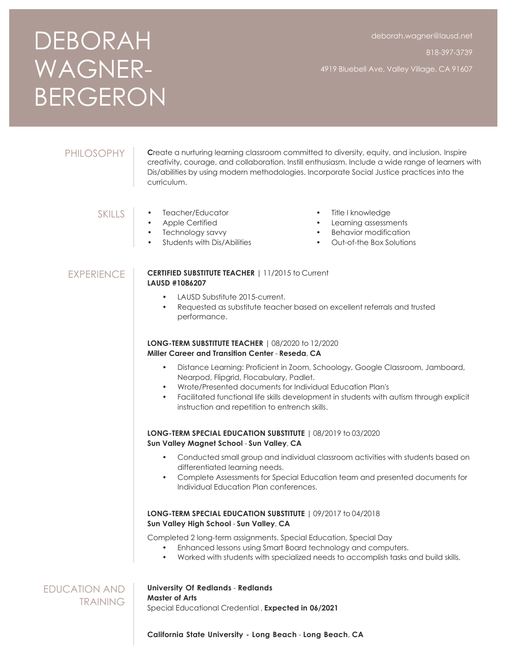# DEBORAH WAGNER-BERGERON

818-397-3739

4919 Bluebell Ave, Valley Village, CA 91607

# PHILOSOPHY

**C**reate a nurturing learning classroom committed to diversity, equity, and inclusion. Inspire creativity, courage, and collaboration. Instill enthusiasm. Include a wide range of learners with Dis/abilities by using modern methodologies. Incorporate Social Justice practices into the curriculum.

# SKILLS

- Apple Certified
- Technology savvy
- Students with Dis/Abilities

• Teacher/Educator

- Title I knowledge
- Learning assessments
- Behavior modification
- Out-of-the Box Solutions

# EXPERIENCE

#### **CERTIFIED SUBSTITUTE TEACHER** | 11/2015 to Current **LAUSD #1086207**

- LAUSD Substitute 2015-current.
- Requested as substitute teacher based on excellent referrals and trusted performance.

# **LONG-TERM SUBSTITUTE TEACHER** | 08/2020 to 12/2020 **Miller Career and Transition Center** - **Reseda**, **CA**

- Distance Learning: Proficient in Zoom, Schoology, Google Classroom, Jamboard, Nearpod, Flipgrid, Flocabulary, Padlet.
- Wrote/Presented documents for Individual Education Plan's
- Facilitated functional life skills development in students with autism through explicit instruction and repetition to entrench skills.

# **LONG-TERM SPECIAL EDUCATION SUBSTITUTE** | 08/2019 to 03/2020 **Sun Valley Magnet School** - **Sun Valley**, **CA**

- Conducted small group and individual classroom activities with students based on differentiated learning needs.
- Complete Assessments for Special Education team and presented documents for Individual Education Plan conferences.

# **LONG-TERM SPECIAL EDUCATION SUBSTITUTE** | 09/2017 to 04/2018 **Sun Valley High School** - **Sun Valley**, **CA**

Completed 2 long-term assignments. Special Education, Special Day

- Enhanced lessons using Smart Board technology and computers.
- Worked with students with specialized needs to accomplish tasks and build skills.

EDUCATION AND **TRAINING** 

#### **University Of Redlands** - **Redlands Master of Arts**

Special Educational Credential , **Expected in 06/2021**

**California State University - Long Beach** - **Long Beach**, **CA**